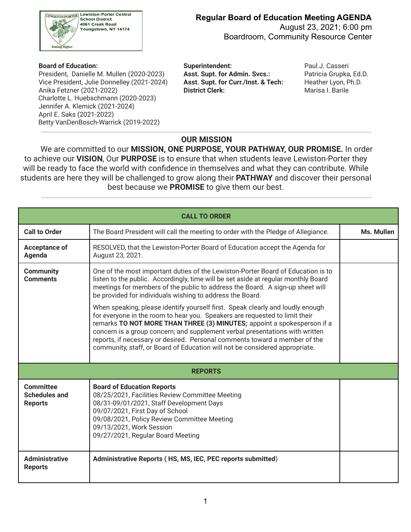

August 23, 2021; 6:00 pm Boardroom, Community Resource Center

 President, Danielle M. Mullen (2020-2023) **Asst. Supt. for Admin. Svcs.:** Patricia Grupka, Ed.D. Vice President, Julie Donnelley (2021-2024) **Asst. Supt. for Curr./Inst. & Tech:** Heather Lyon, Ph.D. Anika Fetzner (2021-2022) **District Clerk:** Marisa I. Barile Charlotte L. Huebschmann (2020-2023) Jennifer A. Klemick (2021-2024) April E. Saks (2021-2022) Betty VanDenBosch-Warrick (2019-2022)

 **Board of Education: Superintendent:** Paul J. Casseri

#### **OUR MISSION**

We are committed to our **MISSION, ONE PURPOSE, YOUR PATHWAY, OUR PROMISE.** In order to achieve our **VISION**, Our **PURPOSE** is to ensure that when students leave Lewiston-Porter they will be ready to face the world with confidence in themselves and what they can contribute. While students are here they will be challenged to grow along their **PATHWAY** and discover their personal best because we **PROMISE** to give them our best.

| <b>CALL TO ORDER</b>                                       |                                                                                                                                                                                                                                                                                                                                                                                                                                                                                                                                                                                                                                                                                                                                                                                                               |            |  |  |  |  |  |  |
|------------------------------------------------------------|---------------------------------------------------------------------------------------------------------------------------------------------------------------------------------------------------------------------------------------------------------------------------------------------------------------------------------------------------------------------------------------------------------------------------------------------------------------------------------------------------------------------------------------------------------------------------------------------------------------------------------------------------------------------------------------------------------------------------------------------------------------------------------------------------------------|------------|--|--|--|--|--|--|
| <b>Call to Order</b>                                       | The Board President will call the meeting to order with the Pledge of Allegiance.                                                                                                                                                                                                                                                                                                                                                                                                                                                                                                                                                                                                                                                                                                                             | Ms. Mullen |  |  |  |  |  |  |
| Acceptance of<br>Agenda                                    | RESOLVED, that the Lewiston-Porter Board of Education accept the Agenda for<br>August 23, 2021.                                                                                                                                                                                                                                                                                                                                                                                                                                                                                                                                                                                                                                                                                                               |            |  |  |  |  |  |  |
| <b>Community</b><br><b>Comments</b>                        | One of the most important duties of the Lewiston-Porter Board of Education is to<br>listen to the public. Accordingly, time will be set aside at regular monthly Board<br>meetings for members of the public to address the Board. A sign-up sheet will<br>be provided for individuals wishing to address the Board.<br>When speaking, please identify yourself first. Speak clearly and loudly enough<br>for everyone in the room to hear you. Speakers are requested to limit their<br>remarks TO NOT MORE THAN THREE (3) MINUTES; appoint a spokesperson if a<br>concern is a group concern; and supplement verbal presentations with written<br>reports, if necessary or desired. Personal comments toward a member of the<br>community, staff, or Board of Education will not be considered appropriate. |            |  |  |  |  |  |  |
|                                                            | <b>REPORTS</b>                                                                                                                                                                                                                                                                                                                                                                                                                                                                                                                                                                                                                                                                                                                                                                                                |            |  |  |  |  |  |  |
| <b>Committee</b><br><b>Schedules and</b><br><b>Reports</b> | <b>Board of Education Reports</b><br>08/25/2021, Facilities Review Committee Meeting<br>08/31-09/01/2021, Staff Development Days<br>09/07/2021, First Day of School<br>09/08/2021, Policy Review Committee Meeting<br>09/13/2021, Work Session<br>09/27/2021, Regular Board Meeting                                                                                                                                                                                                                                                                                                                                                                                                                                                                                                                           |            |  |  |  |  |  |  |
| <b>Administrative</b><br><b>Reports</b>                    | Administrative Reports (HS, MS, IEC, PEC reports submitted)                                                                                                                                                                                                                                                                                                                                                                                                                                                                                                                                                                                                                                                                                                                                                   |            |  |  |  |  |  |  |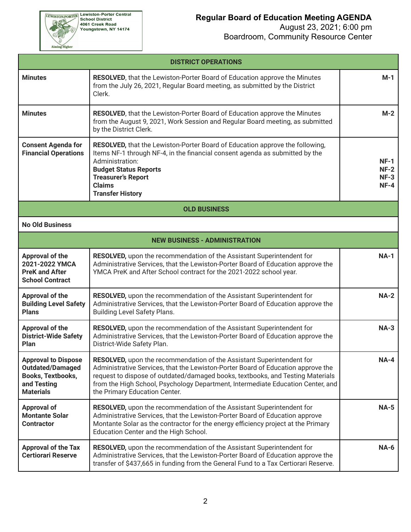**Aiming Higher** 

# **Regular Board of Education Meeting AGENDA**

| <b>DISTRICT OPERATIONS</b>                                                                                           |                                                                                                                                                                                                                                                                                                                                                                        |                                      |  |  |  |  |
|----------------------------------------------------------------------------------------------------------------------|------------------------------------------------------------------------------------------------------------------------------------------------------------------------------------------------------------------------------------------------------------------------------------------------------------------------------------------------------------------------|--------------------------------------|--|--|--|--|
| <b>Minutes</b>                                                                                                       | RESOLVED, that the Lewiston-Porter Board of Education approve the Minutes<br>from the July 26, 2021, Regular Board meeting, as submitted by the District<br>Clerk.                                                                                                                                                                                                     |                                      |  |  |  |  |
| <b>Minutes</b>                                                                                                       | RESOLVED, that the Lewiston-Porter Board of Education approve the Minutes<br>from the August 9, 2021, Work Session and Regular Board meeting, as submitted<br>by the District Clerk.                                                                                                                                                                                   | $M-2$                                |  |  |  |  |
| <b>Consent Agenda for</b><br><b>Financial Operations</b>                                                             | <b>RESOLVED,</b> that the Lewiston-Porter Board of Education approve the following,<br>Items NF-1 through NF-4, in the financial consent agenda as submitted by the<br>Administration:<br><b>Budget Status Reports</b><br><b>Treasurer's Report</b><br><b>Claims</b><br><b>Transfer History</b>                                                                        | $NF-1$<br>$NF-2$<br>$NF-3$<br>$NF-4$ |  |  |  |  |
|                                                                                                                      | <b>OLD BUSINESS</b>                                                                                                                                                                                                                                                                                                                                                    |                                      |  |  |  |  |
| <b>No Old Business</b>                                                                                               |                                                                                                                                                                                                                                                                                                                                                                        |                                      |  |  |  |  |
|                                                                                                                      | <b>NEW BUSINESS - ADMINISTRATION</b>                                                                                                                                                                                                                                                                                                                                   |                                      |  |  |  |  |
| <b>Approval of the</b><br>2021-2022 YMCA<br><b>PreK and After</b><br><b>School Contract</b>                          | <b>RESOLVED, upon the recommendation of the Assistant Superintendent for</b><br>Administrative Services, that the Lewiston-Porter Board of Education approve the<br>YMCA PreK and After School contract for the 2021-2022 school year.                                                                                                                                 | $NA-1$                               |  |  |  |  |
| <b>Approval of the</b><br><b>Building Level Safety</b><br><b>Plans</b>                                               | RESOLVED, upon the recommendation of the Assistant Superintendent for<br>Administrative Services, that the Lewiston-Porter Board of Education approve the<br><b>Building Level Safety Plans.</b>                                                                                                                                                                       | $NA-2$                               |  |  |  |  |
| <b>Approval of the</b><br><b>District-Wide Safety</b><br><b>Plan</b>                                                 | <b>RESOLVED, upon the recommendation of the Assistant Superintendent for</b><br>Administrative Services, that the Lewiston-Porter Board of Education approve the<br>District-Wide Safety Plan.                                                                                                                                                                         | $NA-3$                               |  |  |  |  |
| <b>Approval to Dispose</b><br><b>Outdated/Damaged</b><br><b>Books, Textbooks,</b><br>and Testing<br><b>Materials</b> | <b>RESOLVED, upon the recommendation of the Assistant Superintendent for</b><br>Administrative Services, that the Lewiston-Porter Board of Education approve the<br>request to dispose of outdated/damaged books, textbooks, and Testing Materials<br>from the High School, Psychology Department, Intermediate Education Center, and<br>the Primary Education Center. | $NA-4$                               |  |  |  |  |

| Approval of<br><b>Montante Solar</b><br><b>Contractor</b> | RESOLVED, upon the recommendation of the Assistant Superintendent for<br>Administrative Services, that the Lewiston-Porter Board of Education approve<br>Montante Solar as the contractor for the energy efficiency project at the Primary<br>Education Center and the High School. |        |  |  |
|-----------------------------------------------------------|-------------------------------------------------------------------------------------------------------------------------------------------------------------------------------------------------------------------------------------------------------------------------------------|--------|--|--|
| <b>Approval of the Tax</b><br><b>Certiorari Reserve</b>   | RESOLVED, upon the recommendation of the Assistant Superintendent for<br>Administrative Services, that the Lewiston-Porter Board of Education approve the<br>transfer of \$437,665 in funding from the General Fund to a Tax Certiorari Reserve.                                    | $NA-6$ |  |  |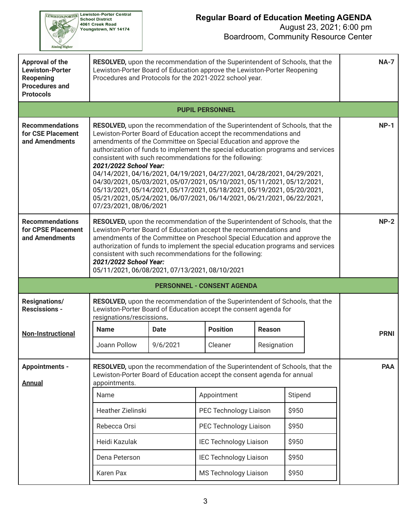

| <b>Approval of the</b><br><b>Lewiston-Porter</b><br><b>Reopening</b><br><b>Procedures and</b><br><b>Protocols</b> | RESOLVED, upon the recommendation of the Superintendent of Schools, that the<br>Lewiston-Porter Board of Education approve the Lewiston-Porter Reopening<br>Procedures and Protocols for the 2021-2022 school year.                                                                                                                                                                                                                                                                                                                                                                                                                                                                                                                 | <b>NA-7</b>                                                                                                                                      |                                  |             |         |             |  |  |  |
|-------------------------------------------------------------------------------------------------------------------|-------------------------------------------------------------------------------------------------------------------------------------------------------------------------------------------------------------------------------------------------------------------------------------------------------------------------------------------------------------------------------------------------------------------------------------------------------------------------------------------------------------------------------------------------------------------------------------------------------------------------------------------------------------------------------------------------------------------------------------|--------------------------------------------------------------------------------------------------------------------------------------------------|----------------------------------|-------------|---------|-------------|--|--|--|
| <b>PUPIL PERSONNEL</b>                                                                                            |                                                                                                                                                                                                                                                                                                                                                                                                                                                                                                                                                                                                                                                                                                                                     |                                                                                                                                                  |                                  |             |         |             |  |  |  |
| <b>Recommendations</b><br>for CSE Placement<br>and Amendments                                                     | RESOLVED, upon the recommendation of the Superintendent of Schools, that the<br>Lewiston-Porter Board of Education accept the recommendations and<br>amendments of the Committee on Special Education and approve the<br>authorization of funds to implement the special education programs and services<br>consistent with such recommendations for the following:<br>2021/2022 School Year:<br>04/14/2021, 04/16/2021, 04/19/2021, 04/27/2021, 04/28/2021, 04/29/2021,<br>04/30/2021, 05/03/2021, 05/07/2021, 05/10/2021, 05/11/2021, 05/12/2021,<br>05/13/2021, 05/14/2021, 05/17/2021, 05/18/2021, 05/19/2021, 05/20/2021,<br>05/21/2021, 05/24/2021, 06/07/2021, 06/14/2021, 06/21/2021, 06/22/2021,<br>07/23/2021, 08/06/2021 | $NP-1$                                                                                                                                           |                                  |             |         |             |  |  |  |
| <b>Recommendations</b><br>for CPSE Placement<br>and Amendments                                                    | RESOLVED, upon the recommendation of the Superintendent of Schools, that the<br>Lewiston-Porter Board of Education accept the recommendations and<br>amendments of the Committee on Preschool Special Education and approve the<br>authorization of funds to implement the special education programs and services<br>consistent with such recommendations for the following:<br>2021/2022 School Year:<br>05/11/2021, 06/08/2021, 07/13/2021, 08/10/2021                                                                                                                                                                                                                                                                           | $NP-2$                                                                                                                                           |                                  |             |         |             |  |  |  |
| <b>PERSONNEL - CONSENT AGENDA</b>                                                                                 |                                                                                                                                                                                                                                                                                                                                                                                                                                                                                                                                                                                                                                                                                                                                     |                                                                                                                                                  |                                  |             |         |             |  |  |  |
| <b>Resignations/</b><br><b>Rescissions -</b>                                                                      | resignations/rescissions.                                                                                                                                                                                                                                                                                                                                                                                                                                                                                                                                                                                                                                                                                                           | RESOLVED, upon the recommendation of the Superintendent of Schools, that the<br>Lewiston-Porter Board of Education accept the consent agenda for |                                  |             |         |             |  |  |  |
| <b>Non-Instructional</b>                                                                                          | <b>Name</b>                                                                                                                                                                                                                                                                                                                                                                                                                                                                                                                                                                                                                                                                                                                         | <b>Date</b>                                                                                                                                      | <b>Position</b><br><b>Reason</b> |             |         | <b>PRNI</b> |  |  |  |
|                                                                                                                   | Joann Pollow                                                                                                                                                                                                                                                                                                                                                                                                                                                                                                                                                                                                                                                                                                                        | 9/6/2021                                                                                                                                         | Cleaner                          | Resignation |         |             |  |  |  |
| <b>Appointments -</b><br><b>Annual</b>                                                                            | RESOLVED, upon the recommendation of the Superintendent of Schools, that the<br>Lewiston-Porter Board of Education accept the consent agenda for annual<br>appointments.                                                                                                                                                                                                                                                                                                                                                                                                                                                                                                                                                            |                                                                                                                                                  | <b>PAA</b>                       |             |         |             |  |  |  |
|                                                                                                                   | Name                                                                                                                                                                                                                                                                                                                                                                                                                                                                                                                                                                                                                                                                                                                                |                                                                                                                                                  | Appointment                      |             | Stipend |             |  |  |  |
|                                                                                                                   | Heather Zielinski                                                                                                                                                                                                                                                                                                                                                                                                                                                                                                                                                                                                                                                                                                                   |                                                                                                                                                  | PEC Technology Liaison           |             | \$950   |             |  |  |  |
|                                                                                                                   | Rebecca Orsi                                                                                                                                                                                                                                                                                                                                                                                                                                                                                                                                                                                                                                                                                                                        |                                                                                                                                                  | PEC Technology Liaison           |             | \$950   |             |  |  |  |
|                                                                                                                   | Heidi Kazulak                                                                                                                                                                                                                                                                                                                                                                                                                                                                                                                                                                                                                                                                                                                       |                                                                                                                                                  | <b>IEC Technology Liaison</b>    |             | \$950   |             |  |  |  |
|                                                                                                                   | Dena Peterson                                                                                                                                                                                                                                                                                                                                                                                                                                                                                                                                                                                                                                                                                                                       |                                                                                                                                                  | <b>IEC Technology Liaison</b>    |             | \$950   |             |  |  |  |
|                                                                                                                   | Karen Pax                                                                                                                                                                                                                                                                                                                                                                                                                                                                                                                                                                                                                                                                                                                           |                                                                                                                                                  | <b>MS Technology Liaison</b>     |             | \$950   |             |  |  |  |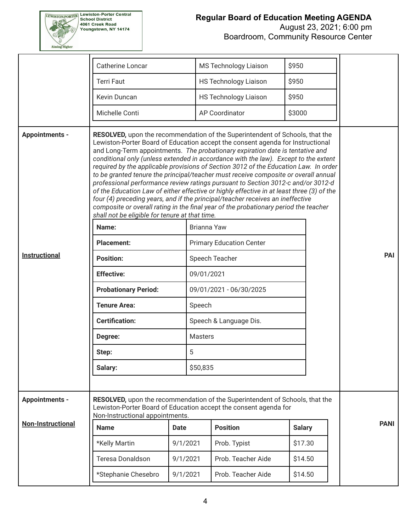

|                                               | Catherine Loncar                                                                                                                                                                                                                                                                                                                                                                                                                                                                                                                                                                                                                                                                                                                                                                                                                                                                                                                                                                                                                                                |             |                              | <b>MS Technology Liaison</b> | \$950         |  |     |             |
|-----------------------------------------------|-----------------------------------------------------------------------------------------------------------------------------------------------------------------------------------------------------------------------------------------------------------------------------------------------------------------------------------------------------------------------------------------------------------------------------------------------------------------------------------------------------------------------------------------------------------------------------------------------------------------------------------------------------------------------------------------------------------------------------------------------------------------------------------------------------------------------------------------------------------------------------------------------------------------------------------------------------------------------------------------------------------------------------------------------------------------|-------------|------------------------------|------------------------------|---------------|--|-----|-------------|
|                                               | <b>Terri Faut</b>                                                                                                                                                                                                                                                                                                                                                                                                                                                                                                                                                                                                                                                                                                                                                                                                                                                                                                                                                                                                                                               |             | <b>HS Technology Liaison</b> |                              | \$950         |  |     |             |
|                                               | Kevin Duncan                                                                                                                                                                                                                                                                                                                                                                                                                                                                                                                                                                                                                                                                                                                                                                                                                                                                                                                                                                                                                                                    |             |                              | <b>HS Technology Liaison</b> | \$950         |  |     |             |
|                                               | Michelle Conti                                                                                                                                                                                                                                                                                                                                                                                                                                                                                                                                                                                                                                                                                                                                                                                                                                                                                                                                                                                                                                                  |             |                              | AP Coordinator               | \$3000        |  |     |             |
| <b>Appointments -</b><br><b>Instructional</b> | RESOLVED, upon the recommendation of the Superintendent of Schools, that the<br>Lewiston-Porter Board of Education accept the consent agenda for Instructional<br>and Long-Term appointments. The probationary expiration date is tentative and<br>conditional only (unless extended in accordance with the law). Except to the extent<br>required by the applicable provisions of Section 3012 of the Education Law. In order<br>to be granted tenure the principal/teacher must receive composite or overall annual<br>professional performance review ratings pursuant to Section 3012-c and/or 3012-d<br>of the Education Law of either effective or highly effective in at least three (3) of the<br>four (4) preceding years, and if the principal/teacher receives an ineffective<br>composite or overall rating in the final year of the probationary period the teacher<br>shall not be eligible for tenure at that time.<br><b>Brianna Yaw</b><br>Name:<br><b>Placement:</b><br><b>Primary Education Center</b><br><b>Position:</b><br>Speech Teacher |             |                              |                              |               |  | PAI |             |
|                                               | <b>Effective:</b>                                                                                                                                                                                                                                                                                                                                                                                                                                                                                                                                                                                                                                                                                                                                                                                                                                                                                                                                                                                                                                               |             | 09/01/2021                   |                              |               |  |     |             |
|                                               | <b>Probationary Period:</b>                                                                                                                                                                                                                                                                                                                                                                                                                                                                                                                                                                                                                                                                                                                                                                                                                                                                                                                                                                                                                                     |             |                              | 09/01/2021 - 06/30/2025      |               |  |     |             |
|                                               | <b>Tenure Area:</b><br>Speech                                                                                                                                                                                                                                                                                                                                                                                                                                                                                                                                                                                                                                                                                                                                                                                                                                                                                                                                                                                                                                   |             |                              |                              |               |  |     |             |
|                                               | <b>Certification:</b><br>Speech & Language Dis.                                                                                                                                                                                                                                                                                                                                                                                                                                                                                                                                                                                                                                                                                                                                                                                                                                                                                                                                                                                                                 |             |                              |                              |               |  |     |             |
|                                               | <b>Masters</b><br>Degree:                                                                                                                                                                                                                                                                                                                                                                                                                                                                                                                                                                                                                                                                                                                                                                                                                                                                                                                                                                                                                                       |             |                              |                              |               |  |     |             |
|                                               | 5<br>Step:                                                                                                                                                                                                                                                                                                                                                                                                                                                                                                                                                                                                                                                                                                                                                                                                                                                                                                                                                                                                                                                      |             |                              |                              |               |  |     |             |
|                                               | \$50,835<br>Salary:                                                                                                                                                                                                                                                                                                                                                                                                                                                                                                                                                                                                                                                                                                                                                                                                                                                                                                                                                                                                                                             |             |                              |                              |               |  |     |             |
|                                               |                                                                                                                                                                                                                                                                                                                                                                                                                                                                                                                                                                                                                                                                                                                                                                                                                                                                                                                                                                                                                                                                 |             |                              |                              |               |  |     |             |
| <b>Appointments -</b>                         | <b>RESOLVED,</b> upon the recommendation of the Superintendent of Schools, that the<br>Lewiston-Porter Board of Education accept the consent agenda for<br>Non-Instructional appointments.                                                                                                                                                                                                                                                                                                                                                                                                                                                                                                                                                                                                                                                                                                                                                                                                                                                                      |             |                              |                              |               |  |     |             |
| <b>Non-Instructional</b>                      | <b>Name</b>                                                                                                                                                                                                                                                                                                                                                                                                                                                                                                                                                                                                                                                                                                                                                                                                                                                                                                                                                                                                                                                     | <b>Date</b> |                              | <b>Position</b>              | <b>Salary</b> |  |     | <b>PANI</b> |
|                                               | *Kelly Martin                                                                                                                                                                                                                                                                                                                                                                                                                                                                                                                                                                                                                                                                                                                                                                                                                                                                                                                                                                                                                                                   | 9/1/2021    |                              | Prob. Typist                 | \$17.30       |  |     |             |
|                                               | Teresa Donaldson                                                                                                                                                                                                                                                                                                                                                                                                                                                                                                                                                                                                                                                                                                                                                                                                                                                                                                                                                                                                                                                | 9/1/2021    |                              | Prob. Teacher Aide           | \$14.50       |  |     |             |
|                                               | *Stephanie Chesebro                                                                                                                                                                                                                                                                                                                                                                                                                                                                                                                                                                                                                                                                                                                                                                                                                                                                                                                                                                                                                                             | 9/1/2021    |                              | Prob. Teacher Aide           | \$14.50       |  |     |             |
|                                               |                                                                                                                                                                                                                                                                                                                                                                                                                                                                                                                                                                                                                                                                                                                                                                                                                                                                                                                                                                                                                                                                 |             |                              |                              |               |  |     |             |